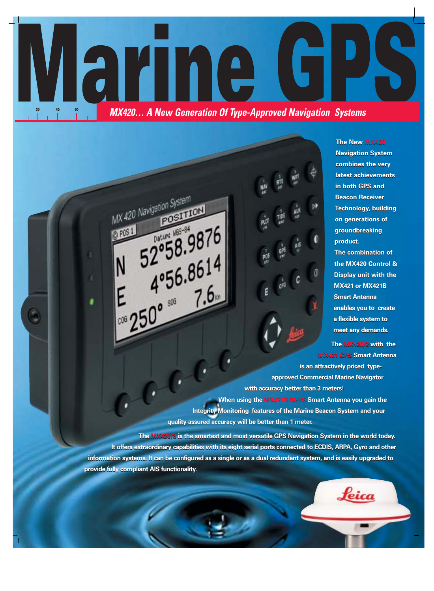

MX 420 Navigation System

**O POS 1** 

**POSITION** 

 $52°58.8614$ <br>4°56.8614

Datum: M65-84

 $E = 4°56.001$ 

2058.9876

**Navigation System Navigation System combines the very combines the very latest achievements latest achievements in both GPS and in both GPS and Beacon Receiver Beacon Receiver Technology, building Technology, building on generations of on generations of groundbreaking groundbreaking product. product. The combination of The combination of the MX420 Control & the MX420 Control & Display unit with the Display unit with the MX421 or MX421B MX421 or MX421B Smart Antenna Smart Antenna enables you to create enables you to create a flexible system to a flexible system to meet any demands. meet any demands.**

**The New MX420 The New MX420** 

**The MX420/2 with the The MX420/2 with the MX421 GPS Smart Antenna MX421 GPS Smart Antenna**

Leica

**is an attractively priced type-is an attractively priced typeapproved Commercial Marine Navigator approved Commercial Marine Navigator with accuracy better than 3 meters! with accuracy better than 3 meters!** 

**When using the MX421B DGPS Smart Antenna you gain the When using the MX421B DGPS Smart Antenna you gain the Integrity Monitoring features of the Marine Beacon System and your Integrity Monitoring features of the Marine Beacon System and your quality assured accuracy will be better than 1 meter. quality assured accuracy will be better than 1 meter.** 

**The MX420/8 is the smartest and most versatile GPS Navigation System in the world today. The MX420/8 is the smartest and most versatile GPS Navigation System in the world today.** It offers extraordinary capabilities with its eight serial ports connected to ECDIS, ARPA, Gyro and other <u>information systems. It can be configured as a single or as a dual redundant system, and is easily upgraded to</u> **provide fully compliant AIS functionality. provide fully compliant AIS functionality.**